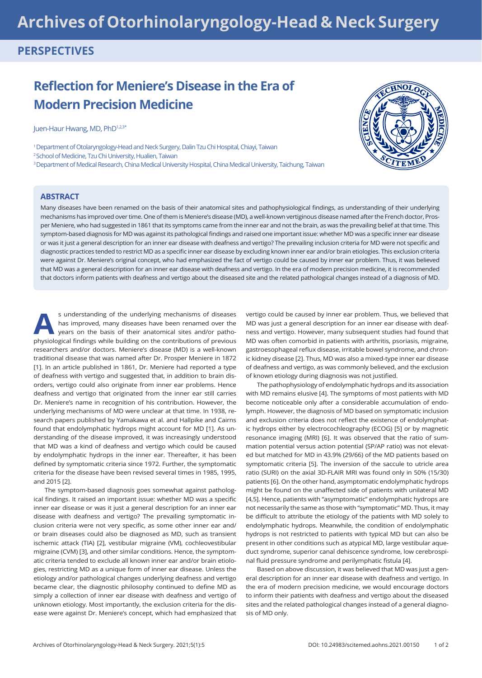# **Archives of Otorhinolaryngology-Head & Neck Surgery**

## **PERSPECTIVES**

## **Reflection for Meniere's Disease in the Era of Modern Precision Medicine**

Juen-Haur Hwang, MD, PhD<sup>1,2,3\*</sup>

1 Department of Otolaryngology-Head and Neck Surgery, Dalin Tzu Chi Hospital, Chiayi, Taiwan <sup>2</sup> School of Medicine, Tzu Chi University, Hualien, Taiwan 3 Department of Medical Research, China Medical University Hospital, China Medical University, Taichung, Taiwan



#### **ABSTRACT**

Many diseases have been renamed on the basis of their anatomical sites and pathophysiological findings, as understanding of their underlying mechanisms has improved over time. One of them is Meniere's disease (MD), a well-known vertiginous disease named after the French doctor, Prosper Meniere, who had suggested in 1861 that its symptoms came from the inner ear and not the brain, as was the prevailing belief at that time. This symptom-based diagnosis for MD was against its pathological findings and raised one important issue: whether MD was a specific inner ear disease or was it just a general description for an inner ear disease with deafness and vertigo? The prevailing inclusion criteria for MD were not specific and diagnostic practices tended to restrict MD as a specific inner ear disease by excluding known inner ear and/or brain etiologies. This exclusion criteria were against Dr. Meniere's original concept, who had emphasized the fact of vertigo could be caused by inner ear problem. Thus, it was believed that MD was a general description for an inner ear disease with deafness and vertigo. In the era of modern precision medicine, it is recommended that doctors inform patients with deafness and vertigo about the diseased site and the related pathological changes instead of a diagnosis of MD.

s understanding of the underlying mechanisms of diseases has improved, many diseases have been renamed over the years on the basis of their anatomical sites and/or patho-<br>phyriclesial finding while building on the contribu has improved, many diseases have been renamed over the physiological findings while building on the contributions of previous researchers and/or doctors. Meniere's disease (MD) is a well-known traditional disease that was named after Dr. Prosper Meniere in 1872 [1]. In an article published in 1861, Dr. Meniere had reported a type of deafness with vertigo and suggested that, in addition to brain disorders, vertigo could also originate from inner ear problems. Hence deafness and vertigo that originated from the inner ear still carries Dr. Meniere's name in recognition of his contribution. However, the underlying mechanisms of MD were unclear at that time. In 1938, research papers published by Yamakawa et al. and Hallpike and Cairns found that endolymphatic hydrops might account for MD [1]. As understanding of the disease improved, it was increasingly understood that MD was a kind of deafness and vertigo which could be caused by endolymphatic hydrops in the inner ear. Thereafter, it has been defined by symptomatic criteria since 1972. Further, the symptomatic criteria for the disease have been revised several times in 1985, 1995, and 2015 [2].

The symptom-based diagnosis goes somewhat against pathological findings. It raised an important issue: whether MD was a specific inner ear disease or was it just a general description for an inner ear disease with deafness and vertigo? The prevailing symptomatic inclusion criteria were not very specific, as some other inner ear and/ or brain diseases could also be diagnosed as MD, such as transient ischemic attack (TIA) [2], vestibular migraine (VM), cochleovestibular migraine (CVM) [3], and other similar conditions. Hence, the symptomatic criteria tended to exclude all known inner ear and/or brain etiologies, restricting MD as a unique form of inner ear disease. Unless the etiology and/or pathological changes underlying deafness and vertigo became clear, the diagnostic philosophy continued to define MD as simply a collection of inner ear disease with deafness and vertigo of unknown etiology. Most importantly, the exclusion criteria for the disease were against Dr. Meniere's concept, which had emphasized that vertigo could be caused by inner ear problem. Thus, we believed that MD was just a general description for an inner ear disease with deafness and vertigo. However, many subsequent studies had found that MD was often comorbid in patients with arthritis, psoriasis, migraine, gastroesophageal reflux disease, irritable bowel syndrome, and chronic kidney disease [2]. Thus, MD was also a mixed-type inner ear disease of deafness and vertigo, as was commonly believed, and the exclusion of known etiology during diagnosis was not justified.

The pathophysiology of endolymphatic hydrops and its association with MD remains elusive [4]. The symptoms of most patients with MD become noticeable only after a considerable accumulation of endolymph. However, the diagnosis of MD based on symptomatic inclusion and exclusion criteria does not reflect the existence of endolymphatic hydrops either by electrocochleography (ECOG) [5] or by magnetic resonance imaging (MRI) [6]. It was observed that the ratio of summation potential versus action potential (SP/AP ratio) was not elevated but matched for MD in 43.9% (29/66) of the MD patients based on symptomatic criteria [5]. The inversion of the saccule to utricle area ratio (SURI) on the axial 3D-FLAIR MRI was found only in 50% (15/30) patients [6]. On the other hand, asymptomatic endolymphatic hydrops might be found on the unaffected side of patients with unilateral MD [4,5]. Hence, patients with "asymptomatic" endolymphatic hydrops are not necessarily the same as those with "symptomatic" MD. Thus, it may be difficult to attribute the etiology of the patients with MD solely to endolymphatic hydrops. Meanwhile, the condition of endolymphatic hydrops is not restricted to patients with typical MD but can also be present in other conditions such as atypical MD, large vestibular aqueduct syndrome, superior canal dehiscence syndrome, low cerebrospinal fluid pressure syndrome and perilymphatic fistula [4].

Based on above discussion, it was believed that MD was just a general description for an inner ear disease with deafness and vertigo. In the era of modern precision medicine, we would encourage doctors to inform their patients with deafness and vertigo about the diseased sites and the related pathological changes instead of a general diagnosis of MD only.